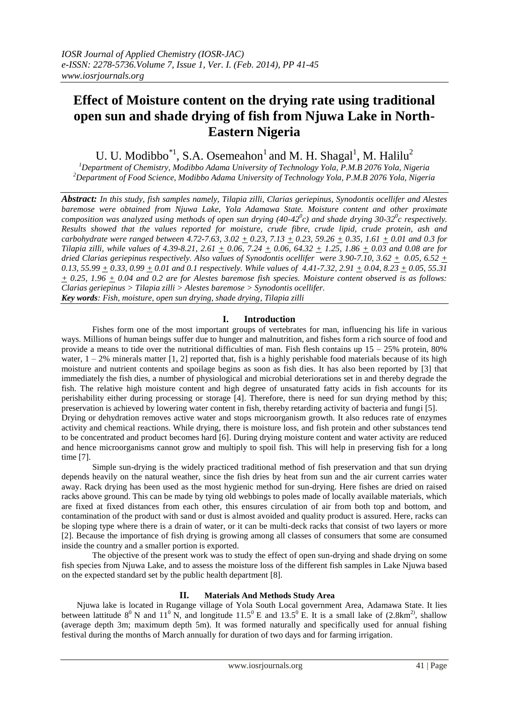# **Effect of Moisture content on the drying rate using traditional open sun and shade drying of fish from Njuwa Lake in North-Eastern Nigeria**

U. U. Modibbo<sup>\*1</sup>, S.A. Osemeahon<sup>1</sup> and M. H. Shagal<sup>1</sup>, M. Halilu<sup>2</sup>

*<sup>1</sup>Department of Chemistry, Modibbo Adama University of Technology Yola, P.M.B 2076 Yola, Nigeria <sup>2</sup>Department of Food Science, Modibbo Adama University of Technology Yola, P.M.B 2076 Yola, Nigeria*

*Abstract: In this study, fish samples namely, Tilapia zilli, Clarias geriepinus, Synodontis ocellifer and Alestes baremose were obtained from Njuwa Lake, Yola Adamawa State. Moisture content and other proximate composition was analyzed using methods of open sun drying (40-42<sup>0</sup> c) and shade drying 30-32<sup>0</sup> c respectively. Results showed that the values reported for moisture, crude fibre, crude lipid, crude protein, ash and carbohydrate were ranged between 4.72-7.63, 3.02 + 0.23, 7.13 + 0.23, 59.26 + 0.35, 1.61 + 0.01 and 0.3 for Tilapia zilli, while values of 4.39-8.21, 2.61 + 0.06, 7.24 + 0.06, 64.32 + 1.25, 1.86 + 0.03 and 0.08 are for dried Clarias geriepinus respectively. Also values of Synodontis ocellifer were 3.90-7.10, 3.62 + 0.05, 6.52 + 0.13, 55.99 + 0.33, 0.99 + 0.01 and 0.1 respectively. While values of 4.41-7.32, 2.91 + 0.04, 8.23 + 0.05, 55.31 + 0.25, 1.96 + 0.04 and 0.2 are for Alestes baremose fish species. Moisture content observed is as follows: Clarias geriepinus > Tilapia zilli > Alestes baremose > Synodontis ocellifer. Key words: Fish, moisture, open sun drying, shade drying, Tilapia zilli*

# **I. Introduction**

Fishes form one of the most important groups of vertebrates for man, influencing his life in various ways. Millions of human beings suffer due to hunger and malnutrition, and fishes form a rich source of food and provide a means to tide over the nutritional difficulties of man. Fish flesh contains up  $15 - 25\%$  protein, 80% water,  $1 - 2%$  minerals matter [1, 2] reported that, fish is a highly perishable food materials because of its high moisture and nutrient contents and spoilage begins as soon as fish dies. It has also been reported by [3] that immediately the fish dies, a number of physiological and microbial deteriorations set in and thereby degrade the fish. The relative high moisture content and high degree of unsaturated fatty acids in fish accounts for its perishability either during processing or storage [4]. Therefore, there is need for sun drying method by this; preservation is achieved by lowering water content in fish, thereby retarding activity of bacteria and fungi [5]. Drying or dehydration removes active water and stops microorganism growth. It also reduces rate of enzymes activity and chemical reactions. While drying, there is moisture loss, and fish protein and other substances tend to be concentrated and product becomes hard [6]. During drying moisture content and water activity are reduced and hence microorganisms cannot grow and multiply to spoil fish. This will help in preserving fish for a long time [7].

Simple sun-drying is the widely practiced traditional method of fish preservation and that sun drying depends heavily on the natural weather, since the fish dries by heat from sun and the air current carries water away. Rack drying has been used as the most hygienic method for sun-drying. Here fishes are dried on raised racks above ground. This can be made by tying old webbings to poles made of locally available materials, which are fixed at fixed distances from each other, this ensures circulation of air from both top and bottom, and contamination of the product with sand or dust is almost avoided and quality product is assured. Here, racks can be sloping type where there is a drain of water, or it can be multi-deck racks that consist of two layers or more [2]. Because the importance of fish drying is growing among all classes of consumers that some are consumed inside the country and a smaller portion is exported.

The objective of the present work was to study the effect of open sun-drying and shade drying on some fish species from Njuwa Lake, and to assess the moisture loss of the different fish samples in Lake Njuwa based on the expected standard set by the public health department [8].

# **II. Materials And Methods Study Area**

Njuwa lake is located in Rugange village of Yola South Local government Area, Adamawa State. It lies between lattitude  $8^0$  N and  $11^0$  N, and longitude  $11.5^0$  E and  $13.5^0$  E. It is a small lake of (2.8km<sup>2)</sup>, shallow (average depth 3m; maximum depth 5m). It was formed naturally and specifically used for annual fishing festival during the months of March annually for duration of two days and for farming irrigation.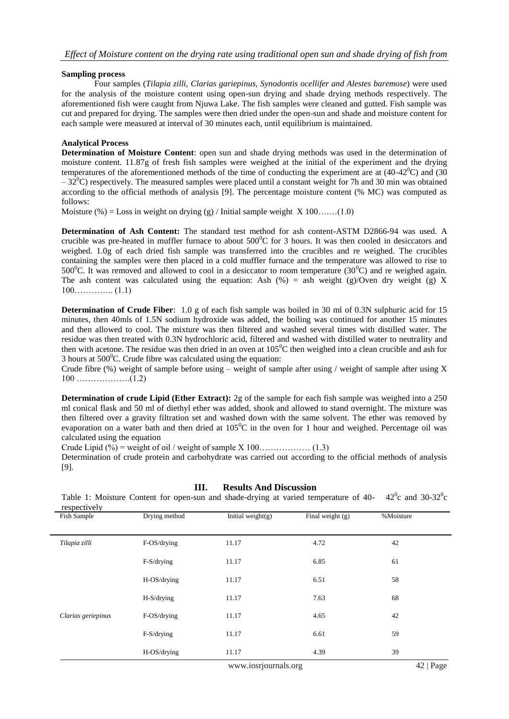## **Sampling process**

Four samples (*Tilapia zilli, Clarias gariepinus, Synodontis ocellifer and Alestes baremose*) were used for the analysis of the moisture content using open-sun drying and shade drying methods respectively. The aforementioned fish were caught from Njuwa Lake. The fish samples were cleaned and gutted. Fish sample was cut and prepared for drying. The samples were then dried under the open-sun and shade and moisture content for each sample were measured at interval of 30 minutes each, until equilibrium is maintained.

## **Analytical Process**

**Determination of Moisture Content**: open sun and shade drying methods was used in the determination of moisture content. 11.87g of fresh fish samples were weighed at the initial of the experiment and the drying temperatures of the aforementioned methods of the time of conducting the experiment are at  $(40-42^{\circ}\text{C})$  and  $(30)$  $-32^{\circ}$ C) respectively. The measured samples were placed until a constant weight for 7h and 30 min was obtained according to the official methods of analysis [9]. The percentage moisture content (% MC) was computed as follows:

Moisture (%) = Loss in weight on drying (g) / Initial sample weight  $X$  100.......(1.0)

**Determination of Ash Content:** The standard test method for ash content-ASTM D2866-94 was used. A crucible was pre-heated in muffler furnace to about  $500^{\circ}$ C for 3 hours. It was then cooled in desiccators and weighed. 1.0g of each dried fish sample was transferred into the crucibles and re weighed. The crucibles containing the samples were then placed in a cold muffler furnace and the temperature was allowed to rise to 500<sup>o</sup>C. It was removed and allowed to cool in a desiccator to room temperature (30<sup>o</sup>C) and re weighed again. The ash content was calculated using the equation: Ash  $(\%)$  = ash weight (g)/Oven dry weight (g) X 100………….. (1.1)

**Determination of Crude Fiber**: 1.0 g of each fish sample was boiled in 30 ml of 0.3N sulphuric acid for 15 minutes, then 40mls of 1.5N sodium hydroxide was added, the boiling was continued for another 15 minutes and then allowed to cool. The mixture was then filtered and washed several times with distilled water. The residue was then treated with 0.3N hydrochloric acid, filtered and washed with distilled water to neutrality and then with acetone. The residue was then dried in an oven at  $105^{\circ}$ C then weighed into a clean crucible and ash for 3 hours at  $500^{\circ}$ C. Crude fibre was calculated using the equation:

Crude fibre (%) weight of sample before using – weight of sample after using / weight of sample after using X 100 ……………….(1.2)

**Determination of crude Lipid (Ether Extract):** 2g of the sample for each fish sample was weighed into a 250 ml conical flask and 50 ml of diethyl ether was added, shook and allowed to stand overnight. The mixture was then filtered over a gravity filtration set and washed down with the same solvent. The ether was removed by evaporation on a water bath and then dried at  $105^{\circ}$ C in the oven for 1 hour and weighed. Percentage oil was calculated using the equation

Crude Lipid (%) = weight of oil / weight of sample X 100……………… (1.3)

Determination of crude protein and carbohydrate was carried out according to the official methods of analysis [9].

| respectively       |               | Table 1. MOISture Content for open-suit and shaue-urying at varied temperature of 40- |                    | $42$ C and $30-32$ C |
|--------------------|---------------|---------------------------------------------------------------------------------------|--------------------|----------------------|
| Fish Sample        | Drying method | Initial weight $(g)$                                                                  | Final weight $(g)$ | %Moisture            |
|                    |               |                                                                                       |                    |                      |
| Tilapia zilli      | F-OS/drying   | 11.17                                                                                 | 4.72               | 42                   |
|                    | F-S/drying    | 11.17                                                                                 | 6.85               | 61                   |
|                    | H-OS/drying   | 11.17                                                                                 | 6.51               | 58                   |
|                    | H-S/drying    | 11.17                                                                                 | 7.63               | 68                   |
| Clarias geriepinus | F-OS/drying   | 11.17                                                                                 | 4.65               | 42                   |
|                    | F-S/drying    | 11.17                                                                                 | 6.61               | 59                   |
|                    | H-OS/drying   | 11.17                                                                                 | 4.39               | 39                   |
|                    | 42<br>Page    |                                                                                       |                    |                      |

### **III. Results And Discussion**

Table 1: Moisture Content for open-sun and shade-drying at varied temperature of 40-  $42^{\circ}$ c and 30-32 $^{\circ}$ c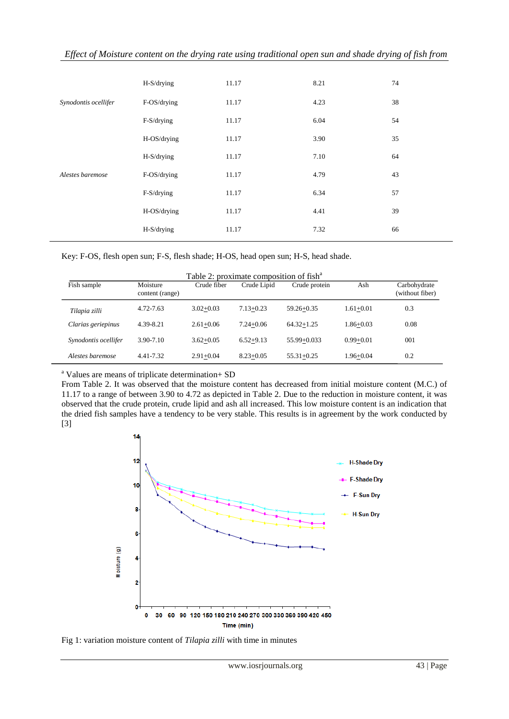|                      | H-S/drying  | 11.17 | 8.21 | 74 |
|----------------------|-------------|-------|------|----|
| Synodontis ocellifer | F-OS/drying | 11.17 | 4.23 | 38 |
| Alestes baremose     | F-S/drying  | 11.17 | 6.04 | 54 |
|                      | H-OS/drying | 11.17 | 3.90 | 35 |
|                      | H-S/drying  | 11.17 | 7.10 | 64 |
|                      | F-OS/drying | 11.17 | 4.79 | 43 |
|                      | F-S/drying  | 11.17 | 6.34 | 57 |
|                      | H-OS/drying | 11.17 | 4.41 | 39 |
|                      | H-S/drying  | 11.17 | 7.32 | 66 |
|                      |             |       |      |    |

Key: F-OS, flesh open sun; F-S, flesh shade; H-OS, head open sun; H-S, head shade.

| Table 2: proximate composition of fish <sup>a</sup> |                             |               |               |                 |               |                                 |  |  |  |
|-----------------------------------------------------|-----------------------------|---------------|---------------|-----------------|---------------|---------------------------------|--|--|--|
| Fish sample                                         | Moisture<br>content (range) | Crude fiber   | Crude Lipid   | Crude protein   | Ash           | Carbohydrate<br>(without fiber) |  |  |  |
| Tilapia zilli                                       | 4.72-7.63                   | $3.02 + 0.03$ | $7.13 + 0.23$ | $59.26 + 0.35$  | $1.61 + 0.01$ | 0.3                             |  |  |  |
| Clarias geriepinus                                  | 4.39-8.21                   | $2.61 + 0.06$ | $7.24 + 0.06$ | $64.32 + 1.25$  | $1.86 + 0.03$ | 0.08                            |  |  |  |
| Synodontis ocellifer                                | $3.90 - 7.10$               | $3.62 + 0.05$ | $6.52+9.13$   | $55.99 + 0.033$ | $0.99 + 0.01$ | 001                             |  |  |  |
| Alestes baremose                                    | 4.41-7.32                   | $2.91 + 0.04$ | $8.23 + 0.05$ | $55.31 + 0.25$  | 1.96+0.04     | 0.2                             |  |  |  |

<sup>a</sup> Values are means of triplicate determination+ SD

From Table 2. It was observed that the moisture content has decreased from initial moisture content (M.C.) of 11.17 to a range of between 3.90 to 4.72 as depicted in Table 2. Due to the reduction in moisture content, it was observed that the crude protein, crude lipid and ash all increased. This low moisture content is an indication that the dried fish samples have a tendency to be very stable. This results is in agreement by the work conducted by [3]



Fig 1: variation moisture content of *Tilapia zilli* with time in minutes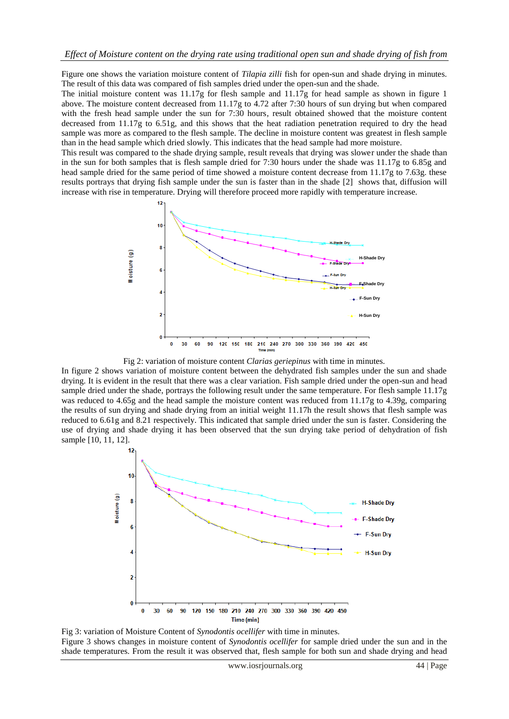Figure one shows the variation moisture content of *Tilapia zilli* fish for open-sun and shade drying in minutes. The result of this data was compared of fish samples dried under the open-sun and the shade.

The initial moisture content was 11.17g for flesh sample and 11.17g for head sample as shown in figure 1 above. The moisture content decreased from 11.17g to 4.72 after 7:30 hours of sun drying but when compared with the fresh head sample under the sun for 7:30 hours, result obtained showed that the moisture content decreased from 11.17g to 6.51g, and this shows that the heat radiation penetration required to dry the head sample was more as compared to the flesh sample. The decline in moisture content was greatest in flesh sample than in the head sample which dried slowly. This indicates that the head sample had more moisture.

This result was compared to the shade drying sample, result reveals that drying was slower under the shade than in the sun for both samples that is flesh sample dried for 7:30 hours under the shade was 11.17g to 6.85g and head sample dried for the same period of time showed a moisture content decrease from 11.17g to 7.63g. these results portrays that drying fish sample under the sun is faster than in the shade [2] shows that, diffusion will increase with rise in temperature. Drying will therefore proceed more rapidly with temperature increase.



Fig 2: variation of moisture content *Clarias geriepinus* with time in minutes.

In figure 2 shows variation of moisture content between the dehydrated fish samples under the sun and shade drying. It is evident in the result that there was a clear variation. Fish sample dried under the open-sun and head sample dried under the shade, portrays the following result under the same temperature. For flesh sample 11.17g was reduced to 4.65g and the head sample the moisture content was reduced from 11.17g to 4.39g, comparing the results of sun drying and shade drying from an initial weight 11.17h the result shows that flesh sample was reduced to 6.61g and 8.21 respectively. This indicated that sample dried under the sun is faster. Considering the use of drying and shade drying it has been observed that the sun drying take period of dehydration of fish sample [10, 11, 12].



Fig 3: variation of Moisture Content of *Synodontis ocellifer* with time in minutes. Figure 3 shows changes in moisture content of *Synodontis ocellifer* for sample dried under the sun and in the shade temperatures. From the result it was observed that, flesh sample for both sun and shade drying and head